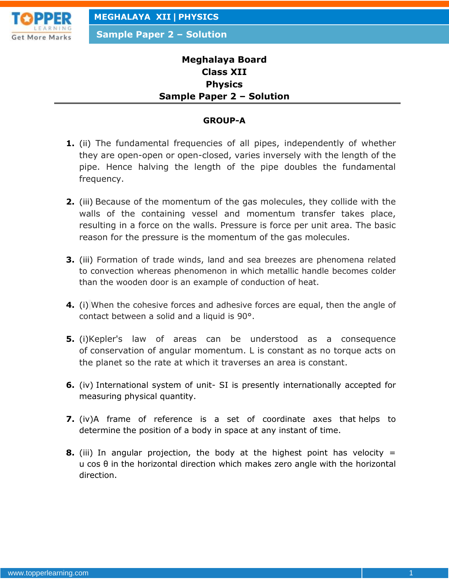

**Sample Paper 2 – Solution**

# **Meghalaya Board Class XII Physics Sample Paper 2 – Solution**

#### **GROUP-A**

- **1.** (ii) The fundamental frequencies of all pipes, independently of whether they are open-open or open-closed, varies inversely with the length of the pipe. Hence halving the length of the pipe doubles the fundamental frequency.
- **2.** (iii) Because of the momentum of the gas molecules, they collide with the walls of the containing vessel and momentum transfer takes place, resulting in a force on the walls. Pressure is force per unit area. The basic reason for the pressure is the momentum of the gas molecules.
- **3.** (iii) Formation of trade winds, land and sea breezes are phenomena related to convection whereas phenomenon in which metallic handle becomes colder than the wooden door is an example of conduction of heat.
- **4.** (i) When the cohesive forces and adhesive forces are equal, then the angle of contact between a solid and a liquid is 90°.
- **5.** (i)Kepler's law of areas can be understood as a consequence of conservation of angular momentum. L is constant as no torque acts on the planet so the rate at which it traverses an area is constant.
- **6.** (iv) International system of unit- SI is presently internationally accepted for measuring physical quantity.
- **7.** (iv)A frame of reference is a set of coordinate axes that helps to determine the position of a body in space at any instant of time.
- **8.** (iii) In angular projection, the body at the highest point has velocity = u cos θ in the horizontal direction which makes zero angle with the horizontal direction.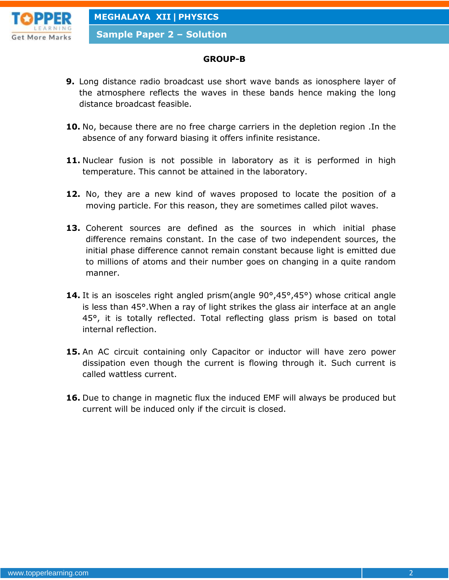

**Sample Paper 2 – Solution**

#### **GROUP-B**

- **9.** Long distance radio broadcast use short wave bands as ionosphere layer of the atmosphere reflects the waves in these bands hence making the long distance broadcast feasible.
- **10.** No, because there are no free charge carriers in the depletion region .In the absence of any forward biasing it offers infinite resistance.
- 11. Nuclear fusion is not possible in laboratory as it is performed in high temperature. This cannot be attained in the laboratory.
- **12.** No, they are a new kind of waves proposed to locate the position of a moving particle. For this reason, they are sometimes called pilot waves.
- **13.** Coherent sources are defined as the sources in which initial phase difference remains constant. In the case of two independent sources, the initial phase difference cannot remain constant because light is emitted due to millions of atoms and their number goes on changing in a quite random manner.
- **14.** It is an isosceles right angled prism(angle 90°,45°,45°) whose critical angle is less than 45°.When a ray of light strikes the glass air interface at an angle 45°, it is totally reflected. Total reflecting glass prism is based on total internal reflection.
- **15.** An AC circuit containing only Capacitor or inductor will have zero power dissipation even though the current is flowing through it. Such current is called wattless current.
- **16.** Due to change in magnetic flux the induced EMF will always be produced but current will be induced only if the circuit is closed.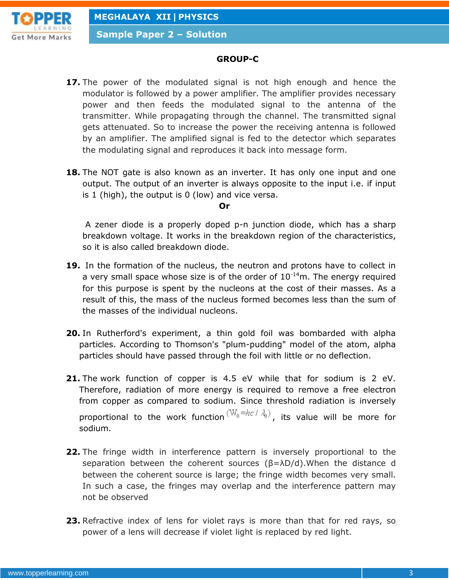

**Sample Paper 2 – Solution**

### **GROUP-C**

- **17.** The power of the modulated signal is not high enough and hence the modulator is followed by a power amplifier. The amplifier provides necessary power and then feeds the modulated signal to the antenna of the transmitter. While propagating through the channel. The transmitted signal gets attenuated. So to increase the power the receiving antenna is followed by an amplifier. The amplified signal is fed to the detector which separates the modulating signal and reproduces it back into message form.
- **18.** The NOT gate is also known as an inverter. It has only one input and one output. The output of an inverter is always opposite to the input i.e. if input is 1 (high), the output is 0 (low) and vice versa.

#### **Or**

A zener diode is a properly doped p-n junction diode, which has a sharp breakdown voltage. It works in the breakdown region of the characteristics, so it is also called breakdown diode.

- **19.** In the formation of the nucleus, the neutron and protons have to collect in a very small space whose size is of the order of  $10^{-14}$ m. The energy required for this purpose is spent by the nucleons at the cost of their masses. As a result of this, the mass of the nucleus formed becomes less than the sum of the masses of the individual nucleons.
- **20.** In Rutherford's experiment, a thin gold foil was bombarded with alpha particles. According to Thomson's "plum-pudding" model of the atom, alpha particles should have passed through the foil with little or no deflection.
- **21.** The work function of copper is 4.5 eV while that for sodium is 2 eV. Therefore, radiation of more energy is required to remove a free electron from copper as compared to sodium. Since threshold radiation is inversely proportional to the work function  $(W_0 = hc / \lambda_0)$ , its value will be more for sodium.
- **22.** The fringe width in interference pattern is inversely proportional to the separation between the coherent sources  $(\beta = \lambda D/d)$ . When the distance d between the coherent source is large; the fringe width becomes very small. In such a case, the fringes may overlap and the interference pattern may not be observed
- **23.** Refractive index of lens for violet rays is more than that for red rays, so power of a lens will decrease if violet light is replaced by red light.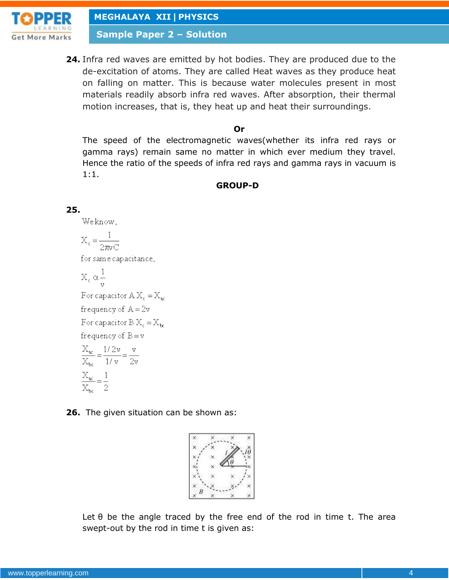

**Sample Paper 2 – Solution**

**24.** Infra red waves are emitted by hot bodies. They are produced due to the de-excitation of atoms. They are called Heat waves as they produce heat on falling on matter. This is because water molecules present in most materials readily absorb infra red waves. After absorption, their thermal motion increases, that is, they heat up and heat their surroundings.

#### **Or**

The speed of the electromagnetic waves(whether its infra red rays or gamma rays) remain same no matter in which ever medium they travel. Hence the ratio of the speeds of infra red rays and gamma rays in vacuum is 1:1.

#### **GROUP-D**

#### **25.**

Weknow,

$$
X_c = \frac{1}{2\pi vC}
$$
  
for same capacitance,  

$$
X_c \propto \frac{1}{v}
$$
  
For capacitor A X<sub>c</sub> = X<sub>ac</sub>  
frequency of A = 2v  
For capacitor B X<sub>c</sub> = X<sub>bc</sub>  
frequency of B = v  

$$
\frac{X_{ac}}{X_{bc}} = \frac{1/2v}{1/v} = \frac{v}{2v}
$$

$$
\frac{X_{ac}}{X_{bc}} = \frac{1}{2}
$$

**26.** The given situation can be shown as:



Let  $\theta$  be the angle traced by the free end of the rod in time t. The area swept-out by the rod in time t is given as: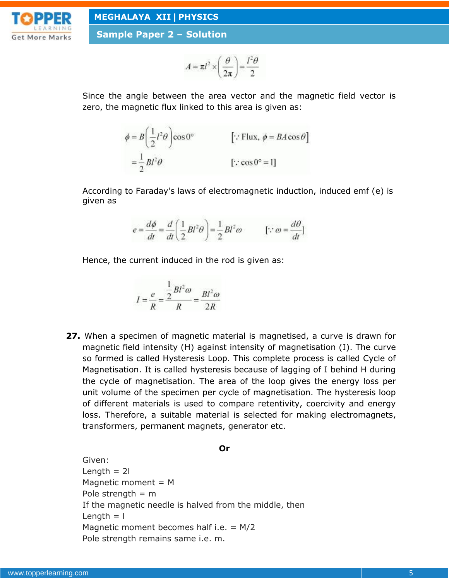

**Sample Paper 2 – Solution**

$$
A = \pi l^2 \times \left(\frac{\theta}{2\pi}\right) = \frac{l^2 \theta}{2}
$$

Since the angle between the area vector and the magnetic field vector is zero, the magnetic flux linked to this area is given as:

$$
\phi = B \left( \frac{1}{2} l^2 \theta \right) \cos 0^\circ \qquad \qquad [\because \text{Flux}, \phi = BA \cos \theta]
$$

$$
= \frac{1}{2} B l^2 \theta \qquad \qquad [\because \cos 0^\circ = 1]
$$

According to Faraday's laws of electromagnetic induction, induced emf (e) is given as

$$
e = \frac{d\phi}{dt} = \frac{d}{dt} \left( \frac{1}{2} B l^2 \theta \right) = \frac{1}{2} B l^2 \omega \qquad [\because \omega = \frac{d\theta}{dt}]
$$

Hence, the current induced in the rod is given as:

$$
I = \frac{e}{R} = \frac{\frac{1}{2}Bl^2\omega}{R} = \frac{Bl^2\omega}{2R}
$$

**27.** When a specimen of magnetic material is magnetised, a curve is drawn for magnetic field intensity (H) against intensity of magnetisation (I). The curve so formed is called Hysteresis Loop. This complete process is called Cycle of Magnetisation. It is called hysteresis because of lagging of I behind H during the cycle of magnetisation. The area of the loop gives the energy loss per unit volume of the specimen per cycle of magnetisation. The hysteresis loop of different materials is used to compare retentivity, coercivity and energy loss. Therefore, a suitable material is selected for making electromagnets, transformers, permanent magnets, generator etc.

#### **Or**

Given: Length  $= 2l$ Magnetic moment  $=$  M Pole strength  $=$  m If the magnetic needle is halved from the middle, then Length  $= 1$ Magnetic moment becomes half i.e.  $= M/2$ Pole strength remains same i.e. m.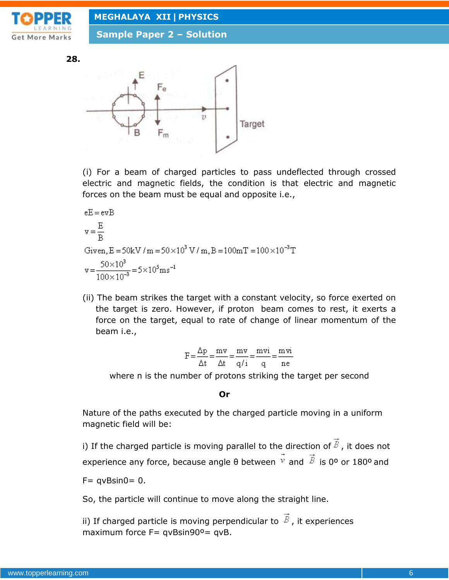

**Sample Paper 2 – Solution**

**28.**



(i) For a beam of charged particles to pass undeflected through crossed electric and magnetic fields, the condition is that electric and magnetic forces on the beam must be equal and opposite i.e.,

eE = evB  
\n
$$
v = \frac{E}{B}
$$
  
\nGiven, E = 50kV / m = 50 × 10<sup>3</sup> V / m, B = 100mT = 100 × 10<sup>-3</sup>T  
\n $v = \frac{50 × 103}{100 × 10-3} = 5 × 105 ms-1$ 

(ii) The beam strikes the target with a constant velocity, so force exerted on the target is zero. However, if proton beam comes to rest, it exerts a force on the target, equal to rate of change of linear momentum of the beam i.e.,

$$
F = \frac{\Delta p}{\Delta t} = \frac{mv}{\Delta t} = \frac{mv}{q/i} = \frac{mvi}{q} = \frac{mvi}{ne}
$$

where n is the number of protons striking the target per second

#### **Or**

Nature of the paths executed by the charged particle moving in a uniform magnetic field will be:

i) If the charged particle is moving parallel to the direction of  $\vec{B}$ , it does not experience any force, because angle  $\theta$  between  $\overrightarrow{v}$  and  $\overrightarrow{B}$  is 0° or 180° and  $F=$  qvBsin0= 0.

So, the particle will continue to move along the straight line.

ii) If charged particle is moving perpendicular to  $\vec{B}$ , it experiences maximum force  $F=$  qvBsin90°= qvB.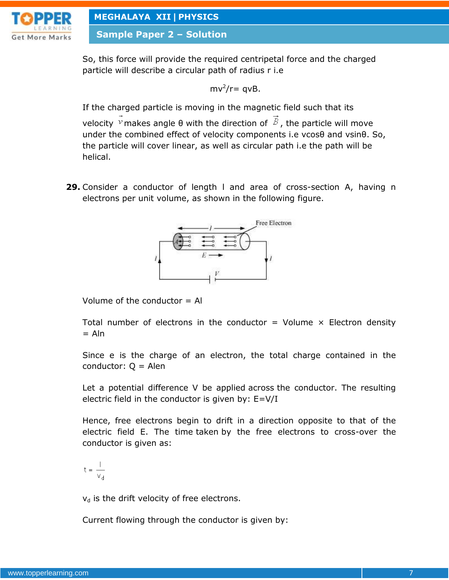

**Sample Paper 2 – Solution**

So, this force will provide the required centripetal force and the charged particle will describe a circular path of radius r i.e

$$
mv^2/r = qvB
$$
.

If the charged particle is moving in the magnetic field such that its velocity  $\overline{v}$  makes angle θ with the direction of  $\overline{B}$ , the particle will move under the combined effect of velocity components i.e vcosθ and vsinθ. So, the particle will cover linear, as well as circular path i.e the path will be helical.

**29.** Consider a conductor of length l and area of cross-section A, having n electrons per unit volume, as shown in the following figure.



Volume of the conductor  $=$  Al

Total number of electrons in the conductor = Volume  $\times$  Electron density  $=$  Aln

Since e is the charge of an electron, the total charge contained in the conductor:  $Q =$  Alen

Let a potential difference V be applied across the conductor. The resulting electric field in the conductor is given by: E=V/I

Hence, free electrons begin to drift in a direction opposite to that of the electric field E. The time taken by the free electrons to cross-over the conductor is given as:

 $t = \frac{1}{v_4}$ 

 $v_d$  is the drift velocity of free electrons.

Current flowing through the conductor is given by: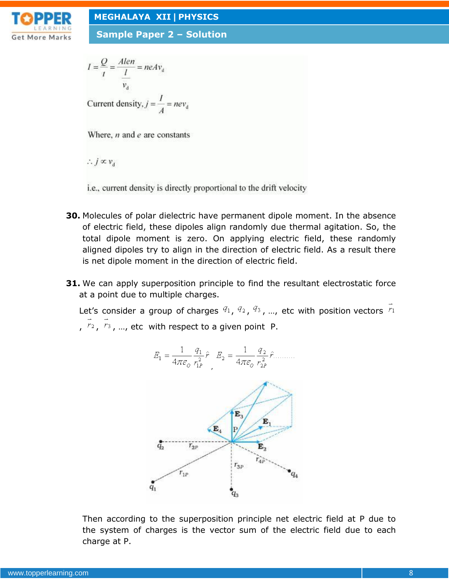

**Sample Paper 2 – Solution**

$$
I = \frac{Q}{t} = \frac{Alen}{l} = neAv_d
$$
  
Current density,  $j = \frac{l}{A} = nev_d$ 

Where,  $n$  and  $e$  are constants

 $\therefore j \propto v_d$ 

i.e., current density is directly proportional to the drift velocity

- **30.** Molecules of polar dielectric have permanent dipole moment. In the absence of electric field, these dipoles align randomly due thermal agitation. So, the total dipole moment is zero. On applying electric field, these randomly aligned dipoles try to align in the direction of electric field. As a result there is net dipole moment in the direction of electric field.
- **31.** We can apply superposition principle to find the resultant electrostatic force at a point due to multiple charges.

Let's consider a group of charges  $q_1$ ,  $q_2$ ,  $q_3$ , ..., etc with position vectors  $\vec{r}_1$ ,  $\vec{r}_2$ ,  $\vec{r}_3$ , ..., etc with respect to a given point P.



Then according to the superposition principle net electric field at P due to the system of charges is the vector sum of the electric field due to each charge at P.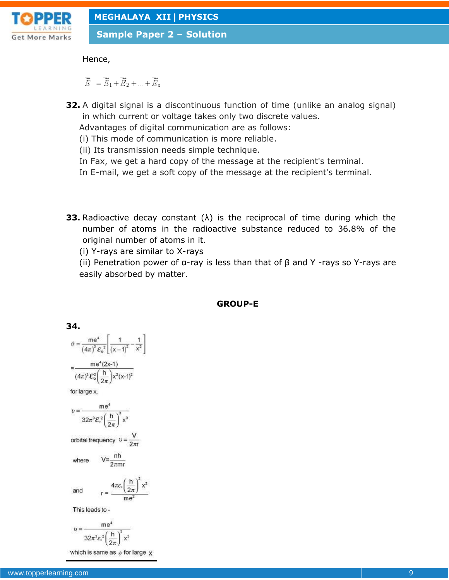

**Sample Paper 2 – Solution**

Hence,

 $\overrightarrow{E} = \overrightarrow{E}_1 + \overrightarrow{E}_2 + \ldots + \overrightarrow{E}_n$ 

- **32.** A digital signal is a discontinuous function of time (unlike an analog signal) in which current or voltage takes only two discrete values. Advantages of digital communication are as follows:
	- (i) This mode of communication is more reliable.
	- (ii) Its transmission needs simple technique.
	- In Fax, we get a hard copy of the message at the recipient's terminal.
	- In E-mail, we get a soft copy of the message at the recipient's terminal.
- **33.** Radioactive decay constant (λ) is the reciprocal of time during which the number of atoms in the radioactive substance reduced to 36.8% of the original number of atoms in it.
	- (i) Y-rays are similar to X-rays

(ii) Penetration power of α-ray is less than that of  $β$  and  $Y$  -rays so Y-rays are easily absorbed by matter.

#### **GROUP-E**

34.  
\n
$$
\theta = \frac{me^4}{(4\pi)^3 \varepsilon_0^2} \left[ \frac{1}{(x-1)^2} - \frac{1}{x^2} \right]
$$
\n
$$
= \frac{me^4 (2x-1)}{(4\pi)^3 \varepsilon_0^2 \left( \frac{h}{2\pi} \right) x^2 (x-1)^2}
$$
\nfor large x,  
\n
$$
v = \frac{me^4}{32\pi^3 \varepsilon_0^2 \left( \frac{h}{2\pi} \right)^3 x^3}
$$
\norbital frequency  $v = \frac{V}{2\pi r}$   
\nwhere  $V = \frac{nh}{2\pi mr}$   
\nand  $r = \frac{4\pi \varepsilon_0 \left( \frac{h}{2\pi} \right)^2 x^2}{me^2}$   
\nThis leads to -  
\n $me^4$ 

$$
v = \frac{1}{32\pi^3 \varepsilon^2 \left(\frac{h}{2\pi}\right)^3 x^3}
$$

which is same as  $\vartheta$  for large  $\chi$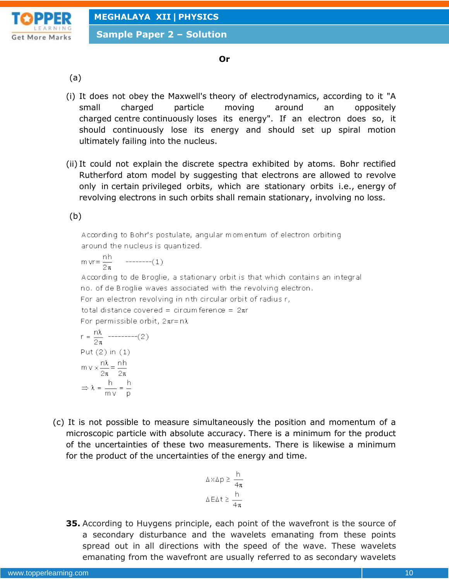**Sample Paper 2 – Solution**



#### **Or**

(a)

- (i) It does not obey the Maxwell's theory of electrodynamics, according to it "A small charged particle moving around an oppositely charged centre continuously loses its energy". If an electron does so, it should continuously lose its energy and should set up spiral motion ultimately failing into the nucleus.
- (ii) It could not explain the discrete spectra exhibited by atoms. Bohr rectified Rutherford atom model by suggesting that electrons are allowed to revolve only in certain privileged orbits, which are stationary orbits i.e., energy of revolving electrons in such orbits shall remain stationary, involving no loss.

(b)

According to Bohr's postulate, angular momentum of electron orbiting around the nucleus is quantized.

$$
m \text{ yr} = \frac{nh}{2\pi} \qquad \text{---}(-1)
$$

According to de Broglie, a stationary orbit is that which contains an integral no, of de Broglie waves associated with the revolving electron.

For an electron revolving in nth circular orbit of radius r.

total distance covered = circumference =  $2\pi r$ 

For permissible orbit,  $2\pi r = n\lambda$ 

$$
r = \frac{n\lambda}{2\pi} \quad \text{---} \quad (2)
$$
\n
$$
\text{Put (2) in (1)}
$$
\n
$$
mv \times \frac{n\lambda}{2\pi} = \frac{n\lambda}{2\pi}
$$
\n
$$
\Rightarrow \lambda = \frac{h}{mv} = \frac{h}{p}
$$

(c) It is not possible to measure simultaneously the position and momentum of a microscopic particle with absolute accuracy. There is a minimum for the product of the uncertainties of these two measurements. There is likewise a minimum for the product of the uncertainties of the energy and time.

$$
\Delta \times \Delta p \ge \frac{h}{4\pi}
$$

$$
\Delta E \Delta t \ge \frac{h}{4\pi}
$$

**35.** According to Huygens principle, each point of the wavefront is the source of a secondary disturbance and the wavelets emanating from these points spread out in all directions with the speed of the wave. These wavelets emanating from the wavefront are usually referred to as secondary wavelets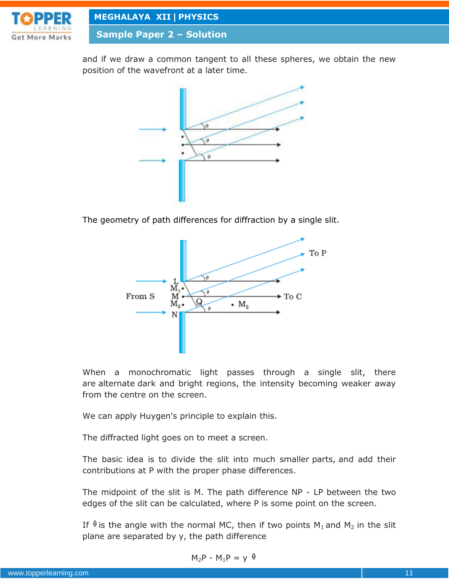

**Sample Paper 2 – Solution**

and if we draw a common tangent to all these spheres, we obtain the new position of the wavefront at a later time.



The geometry of path differences for diffraction by a single slit.



When a monochromatic light passes through a single slit, there are alternate dark and bright regions, the intensity becoming weaker away from the centre on the screen.

We can apply Huygen's principle to explain this.

The diffracted light goes on to meet a screen.

The basic idea is to divide the slit into much smaller parts, and add their contributions at P with the proper phase differences.

The midpoint of the slit is M. The path difference NP - LP between the two edges of the slit can be calculated, where P is some point on the screen.

If  $\theta$  is the angle with the normal MC, then if two points  $M_1$  and  $M_2$  in the slit plane are separated by y, the path difference

$$
M_2P - M_1P = y \theta
$$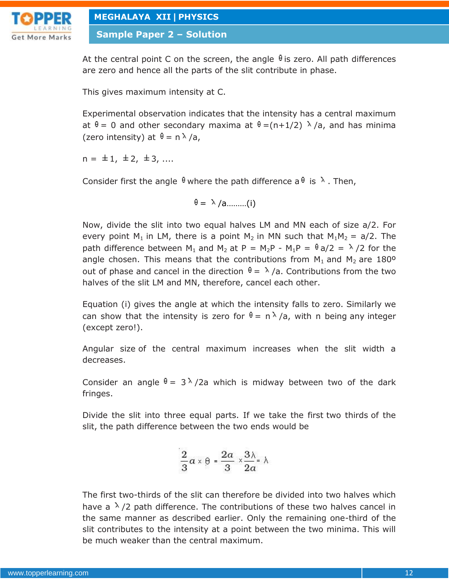

**Sample Paper 2 – Solution**

At the central point C on the screen, the angle  $\theta$  is zero. All path differences are zero and hence all the parts of the slit contribute in phase.

This gives maximum intensity at C.

Experimental observation indicates that the intensity has a central maximum at  $\theta = 0$  and other secondary maxima at  $\theta = (n+1/2)$   $\lambda$  /a, and has minima (zero intensity) at  $\theta = n \lambda / a$ ,

 $n = \pm 1, \pm 2, \pm 3, \ldots$ 

Consider first the angle  $\theta$  where the path difference a  $\theta$  is  $\lambda$ . Then,

$$
\theta = \lambda / a \dots \dots \dots (i)
$$

Now, divide the slit into two equal halves LM and MN each of size a/2. For every point M<sub>1</sub> in LM, there is a point M<sub>2</sub> in MN such that M<sub>1</sub>M<sub>2</sub> = a/2. The path difference between M<sub>1</sub> and M<sub>2</sub> at P = M<sub>2</sub>P - M<sub>1</sub>P =  $\theta$  a/2 =  $\lambda$ /2 for the angle chosen. This means that the contributions from  $M_1$  and  $M_2$  are 180<sup>o</sup> out of phase and cancel in the direction  $\theta = \lambda/a$ . Contributions from the two halves of the slit LM and MN, therefore, cancel each other.

Equation (i) gives the angle at which the intensity falls to zero. Similarly we can show that the intensity is zero for  $\theta = n \lambda/a$ , with n being any integer (except zero!).

Angular size of the central maximum increases when the slit width a decreases.

Consider an angle  $\theta = 3 \lambda / 2a$  which is midway between two of the dark fringes.

Divide the slit into three equal parts. If we take the first two thirds of the slit, the path difference between the two ends would be

$$
\frac{2}{3}a\times\theta=\frac{2a}{3}\times\frac{3\lambda}{2a}\times\lambda
$$

The first two-thirds of the slit can therefore be divided into two halves which have a  $\lambda$  /2 path difference. The contributions of these two halves cancel in the same manner as described earlier. Only the remaining one-third of the slit contributes to the intensity at a point between the two minima. This will be much weaker than the central maximum.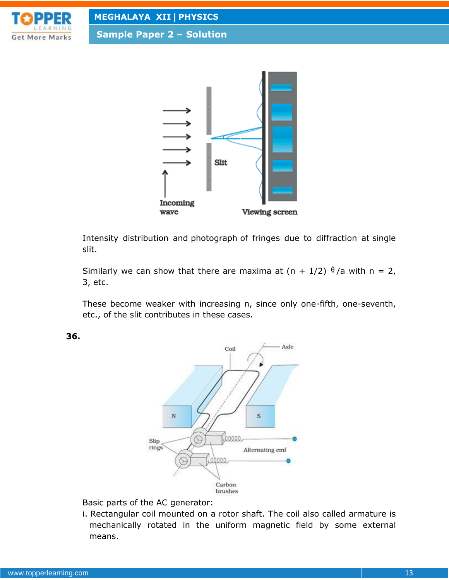

**Sample Paper 2 – Solution**



Intensity distribution and photograph of fringes due to diffraction at single slit.

Similarly we can show that there are maxima at  $(n + 1/2)$   $\frac{0}{2}$  with n = 2, 3, etc.

These become weaker with increasing n, since only one-fifth, one-seventh, etc., of the slit contributes in these cases.

**36.**



Basic parts of the AC generator:

i. Rectangular coil mounted on a rotor shaft. The coil also called armature is mechanically rotated in the uniform magnetic field by some external means.